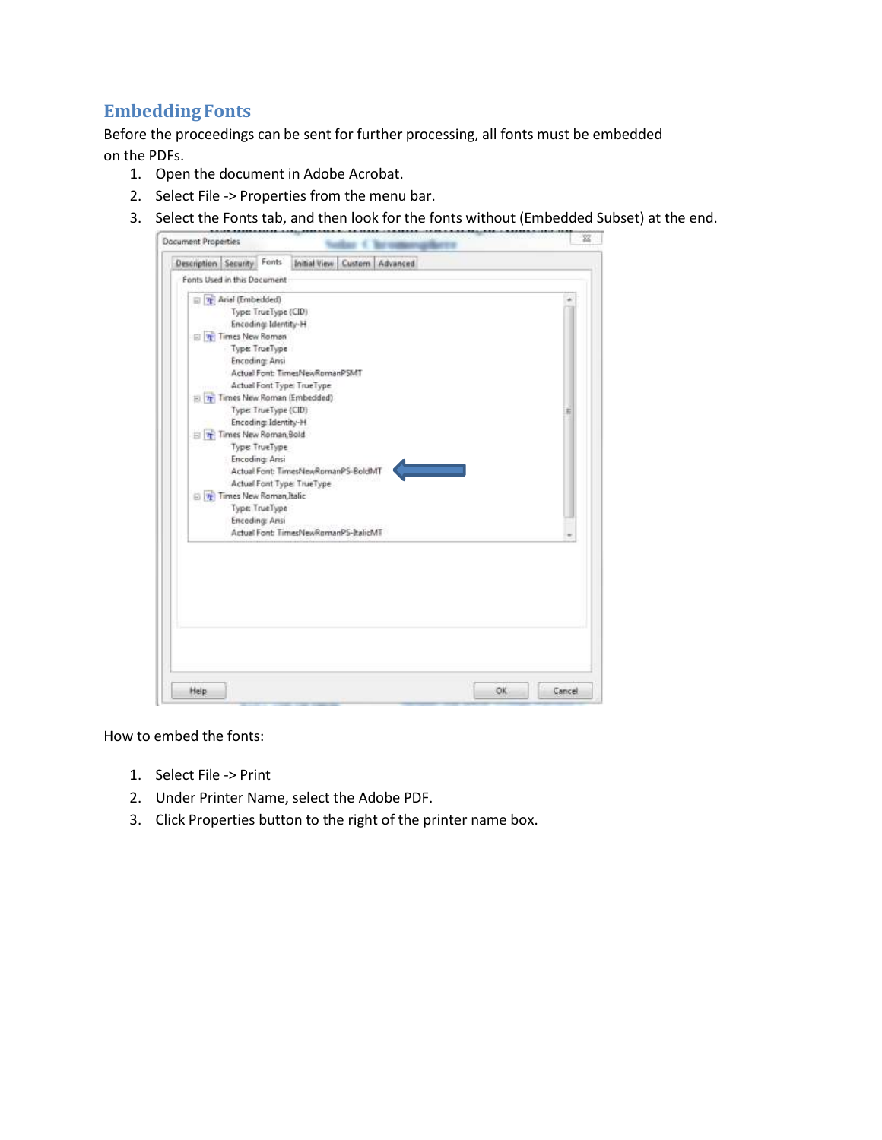## **Embedding Fonts**

Before the proceedings can be sent for further processing, all fonts must be embedded on the PDFs.

- 1. Open the document in Adobe Acrobat.
- 2. Select File -> Properties from the menu bar.
- 3. Select the Fonts tab, and then look for the fonts without (Embedded Subset) at the end.

| Fonts Used in this Document                                  |   |
|--------------------------------------------------------------|---|
| The Arial (Embedded)                                         |   |
| Type: TrueType (CID)                                         |   |
| Encoding: Identity-H                                         |   |
| Times New Roman                                              |   |
| Type: TrueType                                               |   |
| <b>Encoding: Ansi</b>                                        |   |
| Actual Font: TimesNewRomanPSMT                               |   |
| Actual Font Type: TrueType                                   |   |
| El Times New Roman (Embedded)                                |   |
| Type: TrueType (CID)                                         | Б |
| Encoding: Identity-H                                         |   |
| Times New Roman Bold                                         |   |
| Type: TrueType                                               |   |
| <b>Encoding: Ansi</b><br>Actual Font: TimesNewRomanPS-BoldMT |   |
| Actual Font Type: TrueType                                   |   |
| Times New Roman Italic                                       |   |
| Type: TrueType                                               |   |
| <b>Encoding: Ansi</b>                                        |   |
| Actual Font: TimesNewRomanPS-ItalicMT                        |   |
|                                                              |   |
|                                                              |   |
|                                                              |   |
|                                                              |   |
|                                                              |   |
|                                                              |   |
|                                                              |   |
|                                                              |   |
|                                                              |   |

How to embed the fonts:

- 1. Select File -> Print
- 2. Under Printer Name, select the Adobe PDF.
- 3. Click Properties button to the right of the printer name box.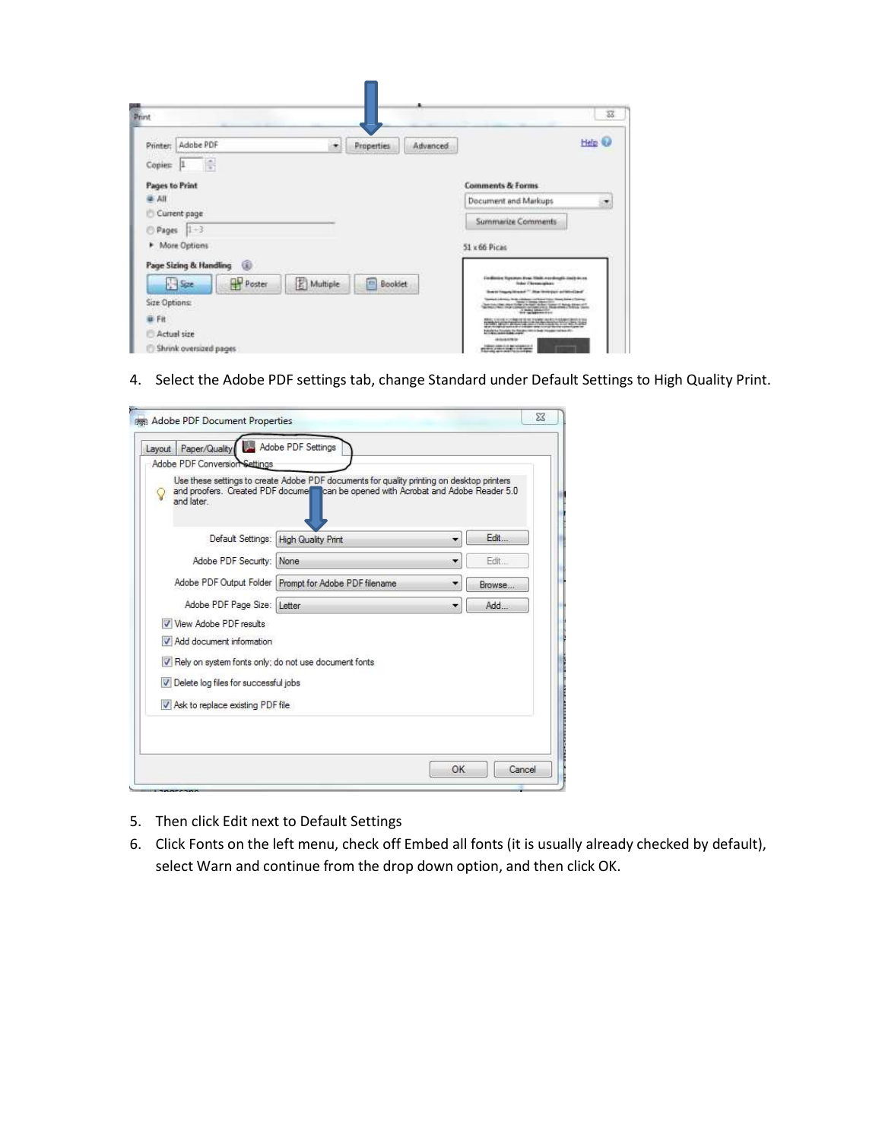| <b>Drint</b>                                      |              |          | $\overline{\mathbf{33}}$                                                                                                                                                                                                                                                                                                                                       |
|---------------------------------------------------|--------------|----------|----------------------------------------------------------------------------------------------------------------------------------------------------------------------------------------------------------------------------------------------------------------------------------------------------------------------------------------------------------------|
| Adobe PDF<br>Printer:<br>٠<br>-11<br>Copies:<br>Ħ | Properties   | Advanced | Help (                                                                                                                                                                                                                                                                                                                                                         |
| <b>Pages to Print</b>                             |              |          | <b>Comments &amp; Forms</b>                                                                                                                                                                                                                                                                                                                                    |
| <b>UA W</b>                                       |              |          | Document and Markups<br>×                                                                                                                                                                                                                                                                                                                                      |
| Current page                                      |              |          | Summarize Comments                                                                                                                                                                                                                                                                                                                                             |
| $Pages$ $1-3$                                     |              |          |                                                                                                                                                                                                                                                                                                                                                                |
| <b>F</b> More Options                             |              |          | 51 x 66 Picas                                                                                                                                                                                                                                                                                                                                                  |
| Page Sizing & Handling<br>ω                       |              |          |                                                                                                                                                                                                                                                                                                                                                                |
| <b>Poster</b><br>E Multiple<br>$s =$              | m<br>Booklet |          | Endicos Resourches Halk nordingly include as<br><b>Index Chromophone</b>                                                                                                                                                                                                                                                                                       |
| Size Options:                                     |              |          | Super Images Means " May be resided as which also                                                                                                                                                                                                                                                                                                              |
| <b>U</b> Fit                                      |              |          |                                                                                                                                                                                                                                                                                                                                                                |
| Actual size                                       |              |          | The country of the company of the company of the company of the company of the company of the company of the company of the company of the company of the company of the company of the company of the company of the company<br>about the product of a contact with complete constitution or<br>Education County, by Sandy 1971 in their Visual County of the |
| Shrink oversized pages                            |              |          | detections<br><b>STATISTICS</b>                                                                                                                                                                                                                                                                                                                                |

4. Select the Adobe PDF settings tab, change Standard under Default Settings to High Quality Print.

| and later                                                                                                                                                                                  | Use these settings to create Adobe PDF documents for quality printing on desktop printers<br>and proofers. Created PDF docume can be opened with Acrobat and Adobe Reader 5.0 |   |        |
|--------------------------------------------------------------------------------------------------------------------------------------------------------------------------------------------|-------------------------------------------------------------------------------------------------------------------------------------------------------------------------------|---|--------|
| Default Settings:                                                                                                                                                                          | High Quality Print                                                                                                                                                            | ۰ | Edit   |
| Adobe PDF Security:                                                                                                                                                                        | <b>None</b>                                                                                                                                                                   | ۳ | Fdit.  |
| Adobe PDF Output Folder                                                                                                                                                                    | Prompt for Adobe PDF filename                                                                                                                                                 | ۰ | Browse |
| Adobe PDF Page Size: Letter                                                                                                                                                                |                                                                                                                                                                               | ۰ | Add    |
| V View Adobe PDF results<br>Add document information<br>V Rely on system fonts only; do not use document fonts<br>Delete log files for successful jobs<br>Ask to replace existing PDF file |                                                                                                                                                                               |   |        |

- 5. Then click Edit next to Default Settings
- 6. Click Fonts on the left menu, check off Embed all fonts (it is usually already checked by default), select Warn and continue from the drop down option, and then click OK.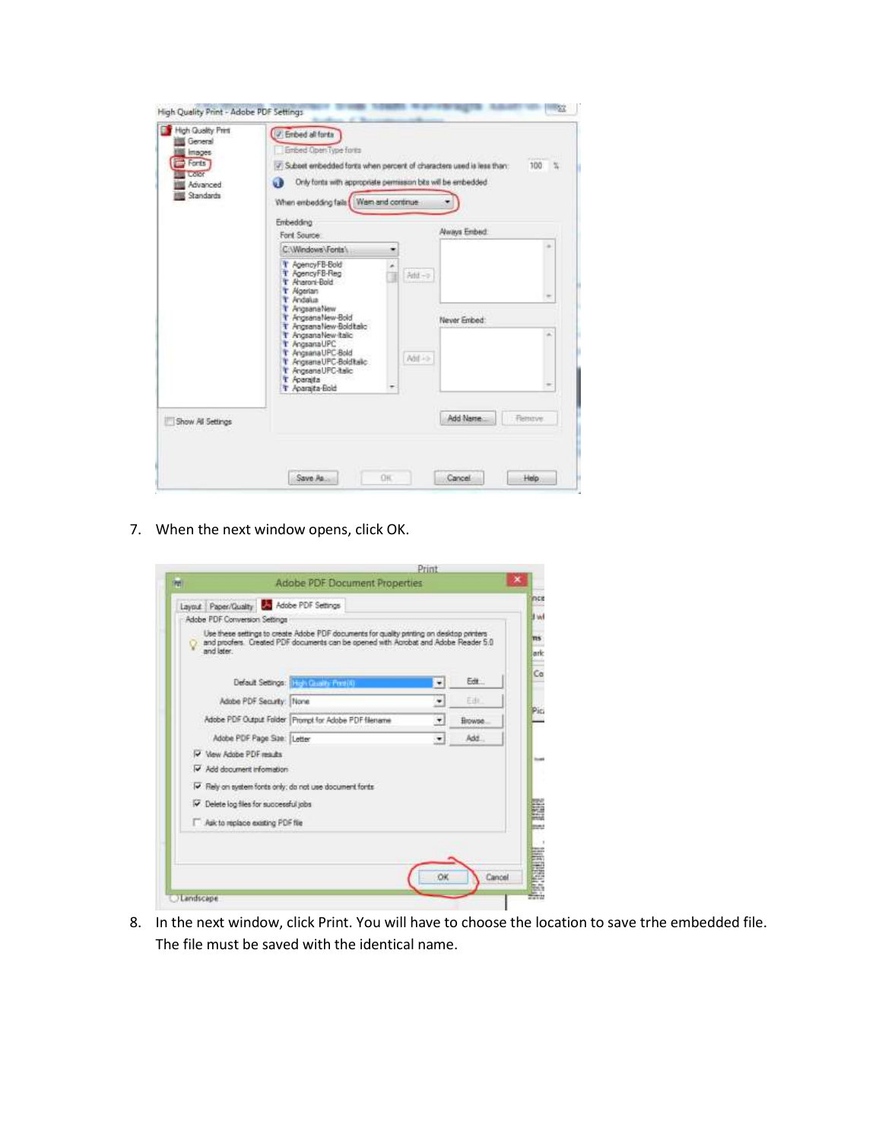| Embedding<br>Ford Source:<br>C:\Windows\Forts\<br>T AgencyFB-Bold<br>T AgencyFB-Reg<br>Afd-><br>T Aharoni-Bold<br>T Algerian                                                   | <b>Aways Embed:</b>           |
|--------------------------------------------------------------------------------------------------------------------------------------------------------------------------------|-------------------------------|
|                                                                                                                                                                                |                               |
|                                                                                                                                                                                |                               |
| T. Andalus<br>T AngsanaNew<br>T AngsanaNew-Bold                                                                                                                                | Never Embed:                  |
| T AngsanaNew-Boldtalc<br>T AngsanaNew-Italic<br>T AngsanaUPC<br>T AngsanaUPC-Bold<br>Add in<br>T Angrana UPC-Boldtalic<br>T AngsanaUPC-italic<br>T Aparaita<br>T Aparaita-Bold | a.                            |
| Show All Settings                                                                                                                                                              | Add Name:<br><b>Rettitive</b> |

7. When the next window opens, click OK.

| Adobe PDF Conversion Settings<br>Use these settings to create Adobe PDF documents for quality printing on desktop printers<br>and proofers. Created PDF documents can be opened with Aprobat and Adobe Reader 5.0 |                |         |
|-------------------------------------------------------------------------------------------------------------------------------------------------------------------------------------------------------------------|----------------|---------|
|                                                                                                                                                                                                                   |                |         |
| and later                                                                                                                                                                                                         |                |         |
| Default Settings: Heys Goods Fording                                                                                                                                                                              | ٠              | Edit    |
| Adobe PDF Security: None                                                                                                                                                                                          | ٠              | Edit.   |
| Adobe PDF Output Folder   Prompt for Adobe PDF filename                                                                                                                                                           | $\overline{ }$ | Browse. |
| Adobe PDF Page Ste: Letter                                                                                                                                                                                        | $\cdot$        | Add.    |
| V View Adobe PDF results                                                                                                                                                                                          |                |         |
| V Add document information                                                                                                                                                                                        |                |         |
| IV Rely on system fonts only; do not use document fonts                                                                                                                                                           |                |         |
| P Delete log files for successful jobs                                                                                                                                                                            |                |         |
| Ask to replace existing PDF file                                                                                                                                                                                  |                |         |

8. In the next window, click Print. You will have to choose the location to save trhe embedded file. The file must be saved with the identical name.